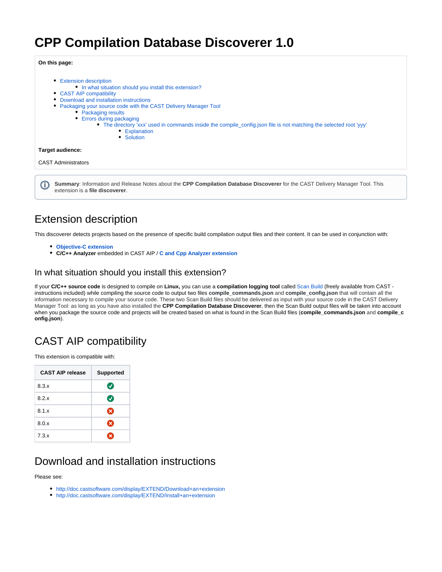# **CPP Compilation Database Discoverer 1.0**

**On this page:**

• [Extension description](#page-0-0) • [In what situation should you install this extension?](#page-0-1) [CAST AIP compatibility](#page-0-2) [Download and installation instructions](#page-0-3) [Packaging your source code with the CAST Delivery Manager Tool](#page-1-0) • [Packaging results](#page-1-1) • [Errors during packaging](#page-2-0) • [The directory 'xxx' used in commands inside the compile\\_config.json file is not matching the selected root 'yyy'](#page-2-1) **[Explanation](#page-2-2)** • [Solution](#page-2-3) **Target audience:** CAST Administrators **Summary**: Information and Release Notes about the **CPP Compilation Database Discoverer** for the CAST Delivery Manager Tool. This G) extension is a **file discoverer**.

## <span id="page-0-0"></span>Extension description

This discoverer detects projects based on the presence of specific build compilation output files and their content. It can be used in conjunction with:

- **[Objective-C extension](https://doc.castsoftware.com/display/TECHNOS/Objective-C+Analyzer)**
- **C/C++ Analyzer** embedded in CAST AIP / **[C and Cpp Analyzer extension](https://doc.castsoftware.com/display/TECHNOS/C+and+Cpp+Analyzer)**

### <span id="page-0-1"></span>In what situation should you install this extension?

If your **C/C++ source code** is designed to compile on **Linux,** you can use a **compilation logging tool** called [Scan Build](https://github.com/CAST-projects/scan-build/) (freely available from CAST instructions included) while compiling the source code to output two files **compile\_commands.json** and **compile\_config.json** that will contain all the information necessary to compile your source code. These two Scan Build files should be delivered as input with your source code in the CAST Delivery Manager Tool: as long as you have also installed the **CPP Compilation Database Discoverer**, then the Scan Build output files will be taken into account when you package the source code and projects will be created based on what is found in the Scan Build files (**compile\_commands.json** and **compile\_c onfig.json**).

## <span id="page-0-2"></span>CAST AIP compatibility

This extension is compatible with:

| <b>CAST AIP release</b> | <b>Supported</b>          |  |
|-------------------------|---------------------------|--|
| 8.3.x                   | $\bm{\sigma}$             |  |
| 8.2.x                   | $\bm{\sigma}$             |  |
| 8.1.x                   | ☎                         |  |
| 8.0.x                   | ⊠                         |  |
| 7.3.x                   | $\boldsymbol{\mathsf{x}}$ |  |

## <span id="page-0-3"></span>Download and installation instructions

Please see:

- <http://doc.castsoftware.com/display/EXTEND/Download+an+extension>
- <http://doc.castsoftware.com/display/EXTEND/Install+an+extension>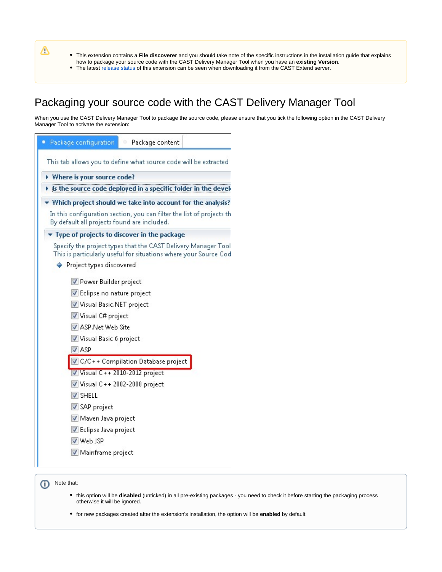Δ

This extension contains a **File discoverer** and you should take note of the specific instructions in the installation guide that explains how to package your source code with the CAST Delivery Manager Tool when you have an **existing Version**.

The latest [release status](https://doc.castsoftware.com/display/EXTEND/Release+types) of this extension can be seen when downloading it from the CAST Extend server.

## <span id="page-1-0"></span>Packaging your source code with the CAST Delivery Manager Tool

When you use the CAST Delivery Manager Tool to package the source code, please ensure that you tick the following option in the CAST Delivery Manager Tool to activate the extension:

| Package configuration<br>Package content                                                                                                                                                                                                                                                                                      |  |  |
|-------------------------------------------------------------------------------------------------------------------------------------------------------------------------------------------------------------------------------------------------------------------------------------------------------------------------------|--|--|
| This tab allows you to define what source code will be extracted                                                                                                                                                                                                                                                              |  |  |
| Where is your source code?                                                                                                                                                                                                                                                                                                    |  |  |
| Is the source code deployed in a speci<br>c folder in the devel                                                                                                                                                                                                                                                               |  |  |
| Which project should we take into account for the analysis?                                                                                                                                                                                                                                                                   |  |  |
| In this configuration section, you can filter the list of projects th<br>By default all projects found are included.                                                                                                                                                                                                          |  |  |
| $\blacktriangledown$ Type of projects to discover in the package                                                                                                                                                                                                                                                              |  |  |
| Specify the project types that the CAST Delivery Manager Tool<br>This is particularly useful for situations where your Source Cod<br>♦ Project types discovered<br>Power Builder project<br>Eclipse no nature project<br>Visual Basic.NET project<br>Visual C# project<br>ASP.Net Web Site<br>Visual Basic 6 project<br>V ASP |  |  |
| C/C++ Compilation Database project                                                                                                                                                                                                                                                                                            |  |  |
| V Visual C++ 2010-2012 project                                                                                                                                                                                                                                                                                                |  |  |
| Visual C++2002-2008 project<br>V SHELL                                                                                                                                                                                                                                                                                        |  |  |
| SAP project                                                                                                                                                                                                                                                                                                                   |  |  |
| Maven Java project                                                                                                                                                                                                                                                                                                            |  |  |
| Eclipse Java project                                                                                                                                                                                                                                                                                                          |  |  |
| V Web JSP                                                                                                                                                                                                                                                                                                                     |  |  |
| Mainframe project                                                                                                                                                                                                                                                                                                             |  |  |

<span id="page-1-1"></span>(i) Note that:

- this option will be **disabled** (unticked) in all pre-existing packages you need to check it before starting the packaging process otherwise it will be ignored.
- for new packages created after the extension's installation, the option will be **enabled** by default